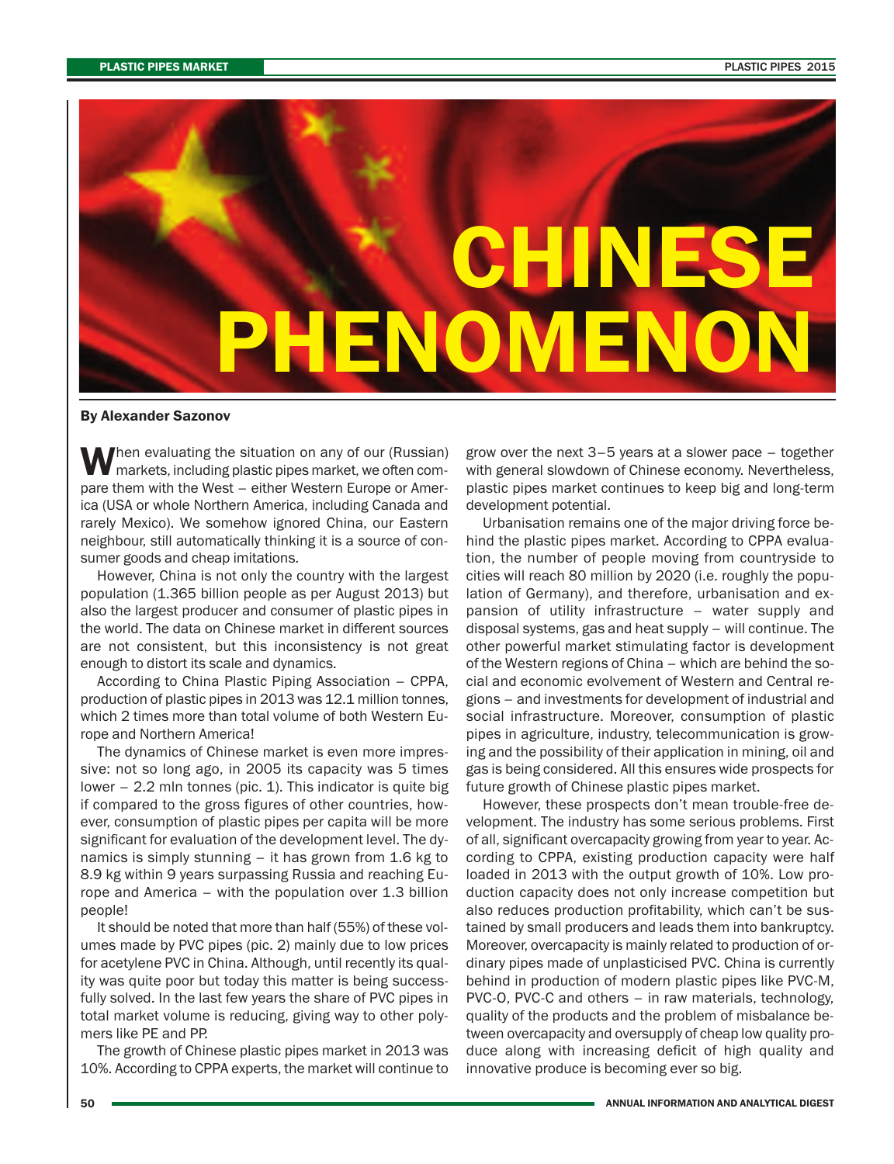

## **By Alexander Sazonov**

**W**hen evaluating the situation on any of our (Russian)<br>**W** markets, including plastic pipes market, we often compare them with the West – either Western Europe or America (USA or whole Northern America, including Canada and rarely Mexico). We somehow ignored China, our Eastern neighbour, still automatically thinking it is a source of consumer goods and cheap imitations.

However, China is not only the country with the largest population (1.365 billion people as per August 2013) but also the largest producer and consumer of plastic pipes in the world. The data on Chinese market in different sources are not consistent, but this inconsistency is not great enough to distort its scale and dynamics.

According to China Plastic Piping Association – СРРА, production of plastic pipes in 2013 was 12.1 million tonnes, which 2 times more than total volume of both Western Europe and Northern America!

The dynamics of Chinese market is even more impressive: not so long ago, in 2005 its capacity was 5 times lower  $-2.2$  mln tonnes (pic. 1). This indicator is quite big if compared to the gross figures of other countries, however, consumption of plastic pipes per capita will be more significant for evaluation of the development level. The dynamics is simply stunning – it has grown from 1.6 kg to 8.9 kg within 9 years surpassing Russia and reaching Europe and America – with the population over 1.3 billion people!

It should be noted that more than half (55%) of these volumes made by PVC pipes (pic. 2) mainly due to low prices for acetylene PVC in China. Although, until recently its quality was quite poor but today this matter is being successfully solved. In the last few years the share of PVC pipes in total market volume is reducing, giving way to other polymers like PE and PP.

The growth of Chinese plastic pipes market in 2013 was 10%. According to CPPA experts, the market will continue to grow over the next 3–5 years at a slower pace – together with general slowdown of Chinese economy. Nevertheless, plastic pipes market continues to keep big and long-term development potential.

Urbanisation remains one of the major driving force behind the plastic pipes market. According to CPPA evaluation, the number of people moving from countryside to cities will reach 80 million by 2020 (i.e. roughly the population of Germany), and therefore, urbanisation and expansion of utility infrastructure – water supply and disposal systems, gas and heat supply – will continue. The other powerful market stimulating factor is development of the Western regions of China – which are behind the social and economic evolvement of Western and Central regions – and investments for development of industrial and social infrastructure. Moreover, consumption of plastic pipes in agriculture, industry, telecommunication is growing and the possibility of their application in mining, oil and gas is being considered. All this ensures wide prospects for future growth of Chinese plastic pipes market.

However, these prospects don't mean trouble-free development. The industry has some serious problems. First of all, significant overcapacity growing from year to year. According to CPPA, existing production capacity were half loaded in 2013 with the output growth of 10%. Low production capacity does not only increase competition but also reduces production profitability, which can't be sustained by small producers and leads them into bankruptcy. Moreover, overcapacity is mainly related to production of ordinary pipes made of unplasticised PVC. China is currently behind in production of modern plastic pipes like PVC-M, PVC-O, PVC-C and others – in raw materials, technology, quality of the products and the problem of misbalance between overcapacity and oversupply of cheap low quality produce along with increasing deficit of high quality and innovative produce is becoming ever so big.